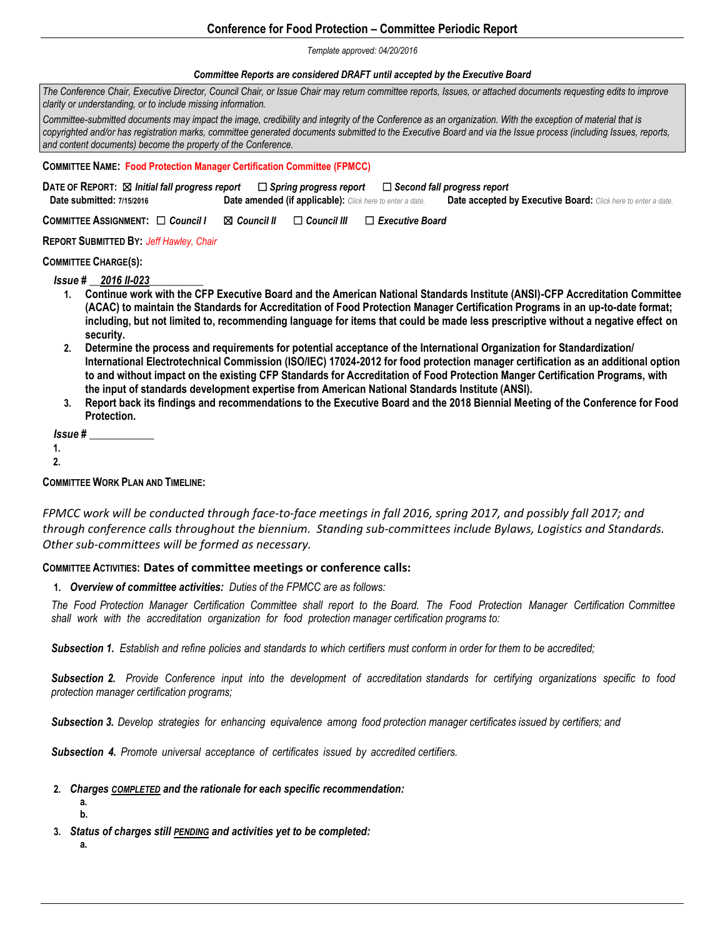# **Conference for Food Protection – Committee Periodic Report**

*Template approved: 04/20/2016*

### *Committee Reports are considered DRAFT until accepted by the Executive Board*

| The Conference Chair, Executive Director, Council Chair, or Issue Chair may return committee reports, Issues, or attached documents requesting edits to improve<br>clarity or understanding, or to include missing information.                                                                                                                                                                                                                                                                                                                                                                                                                                                                                                                                                                                                                                                                                                                                                                                                                                                                                               |
|-------------------------------------------------------------------------------------------------------------------------------------------------------------------------------------------------------------------------------------------------------------------------------------------------------------------------------------------------------------------------------------------------------------------------------------------------------------------------------------------------------------------------------------------------------------------------------------------------------------------------------------------------------------------------------------------------------------------------------------------------------------------------------------------------------------------------------------------------------------------------------------------------------------------------------------------------------------------------------------------------------------------------------------------------------------------------------------------------------------------------------|
| Committee-submitted documents may impact the image, credibility and integrity of the Conference as an organization. With the exception of material that is<br>copyrighted and/or has registration marks, committee generated documents submitted to the Executive Board and via the Issue process (including Issues, reports,<br>and content documents) become the property of the Conference.                                                                                                                                                                                                                                                                                                                                                                                                                                                                                                                                                                                                                                                                                                                                |
| <b>COMMITTEE NAME: Food Protection Manager Certification Committee (FPMCC)</b>                                                                                                                                                                                                                                                                                                                                                                                                                                                                                                                                                                                                                                                                                                                                                                                                                                                                                                                                                                                                                                                |
| DATE OF REPORT: $\boxtimes$ Initial fall progress report $\Box$ Spring progress report $\Box$ Second fall progress report<br>Date submitted: 7/15/2016<br><b>Date amended (if applicable):</b> Click here to enter a date.<br>Date accepted by Executive Board: Click here to enter a date.                                                                                                                                                                                                                                                                                                                                                                                                                                                                                                                                                                                                                                                                                                                                                                                                                                   |
| COMMITTEE ASSIGNMENT: O Council I<br>$\boxtimes$ Council II<br>$\Box$ Council III<br>$\Box$ Executive Board                                                                                                                                                                                                                                                                                                                                                                                                                                                                                                                                                                                                                                                                                                                                                                                                                                                                                                                                                                                                                   |
| <b>REPORT SUBMITTED BY: Jeff Hawley, Chair</b>                                                                                                                                                                                                                                                                                                                                                                                                                                                                                                                                                                                                                                                                                                                                                                                                                                                                                                                                                                                                                                                                                |
| <b>COMMITTEE CHARGE(S):</b>                                                                                                                                                                                                                                                                                                                                                                                                                                                                                                                                                                                                                                                                                                                                                                                                                                                                                                                                                                                                                                                                                                   |
| <b>Issue #</b> 2016 II-023<br>Continue work with the CFP Executive Board and the American National Standards Institute (ANSI)-CFP Accreditation Committee<br>$1_{-}$<br>(ACAC) to maintain the Standards for Accreditation of Food Protection Manager Certification Programs in an up-to-date format;<br>including, but not limited to, recommending language for items that could be made less prescriptive without a negative effect on<br>security.<br>Determine the process and requirements for potential acceptance of the International Organization for Standardization/<br>2.<br>International Electrotechnical Commission (ISO/IEC) 17024-2012 for food protection manager certification as an additional option<br>to and without impact on the existing CFP Standards for Accreditation of Food Protection Manger Certification Programs, with<br>the input of standards development expertise from American National Standards Institute (ANSI).<br>Report back its findings and recommendations to the Executive Board and the 2018 Biennial Meeting of the Conference for Food<br>3.<br>Protection.<br>Issue # |
| 1.                                                                                                                                                                                                                                                                                                                                                                                                                                                                                                                                                                                                                                                                                                                                                                                                                                                                                                                                                                                                                                                                                                                            |

**2.**

## **COMMITTEE WORK PLAN AND TIMELINE:**

*FPMCC work will be conducted through face-to-face meetings in fall 2016, spring 2017, and possibly fall 2017; and through conference calls throughout the biennium. Standing sub-committees include Bylaws, Logistics and Standards. Other sub-committees will be formed as necessary.* 

### **COMMITTEE ACTIVITIES: Dates of committee meetings or conference calls:**

**1.** *Overview of committee activities: Duties of the FPMCC are as follows:*

The Food Protection Manager Certification Committee shall report to the Board. The Food Protection Manager Certification Committee *shall work with the accreditation organization for food protection manager certification programs to:*

*Subsection 1. Establish and refine policies and standards to which certifiers must conform in order for them to be accredited;*

Subsection 2. Provide Conference input into the development of accreditation standards for certifying organizations specific to food *protection manager certification programs;*

*Subsection 3. Develop strategies for enhancing equivalence among food protection manager certificates issued by certifiers; and*

*Subsection 4. Promote universal acceptance of certificates issued by accredited certifiers.*

### **2.** *Charges COMPLETED and the rationale for each specific recommendation:*

- **a.**
- **b.**
- **3.** *Status of charges still PENDING and activities yet to be completed:*
	- **a.**